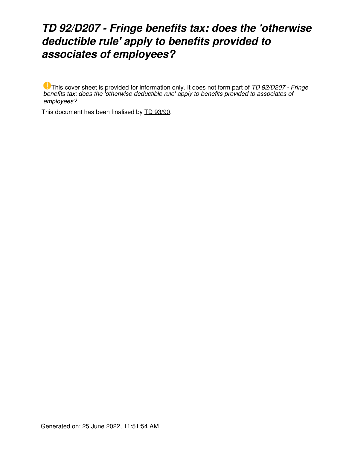## *TD 92/D207 - Fringe benefits tax: does the 'otherwise deductible rule' apply to benefits provided to associates of employees?*

This cover sheet is provided for information only. It does not form part of *TD 92/D207 - Fringe benefits tax: does the 'otherwise deductible rule' apply to benefits provided to associates of employees?*

This document has been finalised by [TD 93/90](https://www.ato.gov.au/law/view/document?LocID=%22TXD%2FTD9390%2FNAT%2FATO%22&PiT=20200129000001).